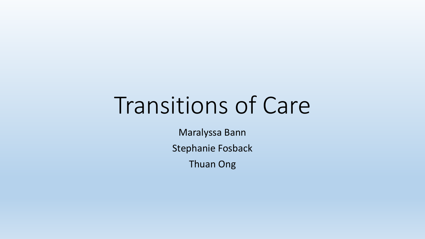# Transitions of Care

Maralyssa Bann

Stephanie Fosback

Thuan Ong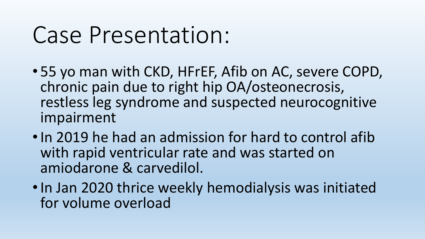# Case Presentation:

- 55 yo man with CKD, HFrEF, Afib on AC, severe COPD, chronic pain due to right hip OA/osteonecrosis, restless leg syndrome and suspected neurocognitive impairment
- •In 2019 he had an admission for hard to control afib with rapid ventricular rate and was started on amiodarone & carvedilol.
- •In Jan 2020 thrice weekly hemodialysis was initiated for volume overload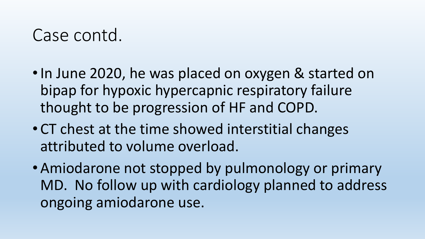- In June 2020, he was placed on oxygen & started on bipap for hypoxic hypercapnic respiratory failure thought to be progression of HF and COPD.
- CT chest at the time showed interstitial changes attributed to volume overload.
- Amiodarone not stopped by pulmonology or primary MD. No follow up with cardiology planned to address ongoing amiodarone use.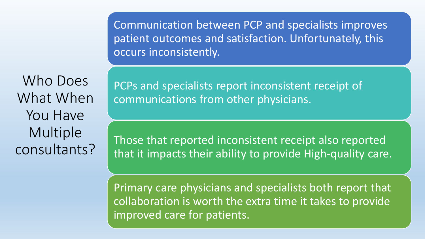Communication between PCP and specialists improves patient outcomes and satisfaction. Unfortunately, this occurs inconsistently.

Who Does What When You Have Multiple consultants?

PCPs and specialists report inconsistent receipt of communications from other physicians.

Those that reported inconsistent receipt also reported that it impacts their ability to provide High-quality care.

Primary care physicians and specialists both report that collaboration is worth the extra time it takes to provide improved care for patients.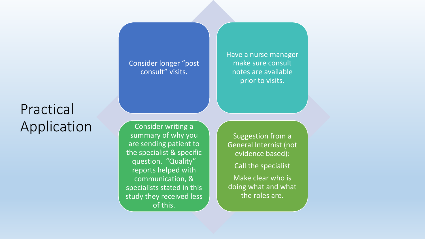#### Practical Application

Consider writing a summary of why you are sending patient to the specialist & specific question. "Quality" reports helped with communication, & specialists stated in this study they received less of this.

Consider longer "post consult" visits.

Have a nurse manager make sure consult notes are available prior to visits.

Suggestion from a General Internist (not evidence based):

Call the specialist

Make clear who is doing what and what the roles are.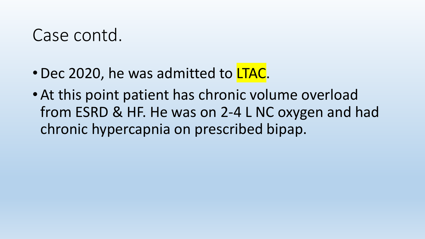- Dec 2020, he was admitted to LTAC.
- At this point patient has chronic volume overload from ESRD & HF. He was on 2-4 L NC oxygen and had chronic hypercapnia on prescribed bipap.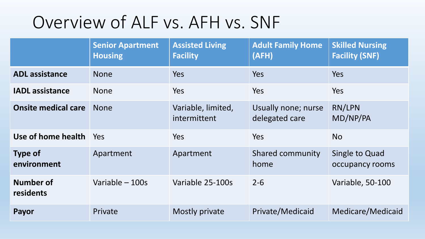#### Overview of ALF vs. AFH vs. SNF

|                               | <b>Senior Apartment</b><br><b>Housing</b> | <b>Assisted Living</b><br><b>Facility</b> | <b>Adult Family Home</b><br>(AFH)     | <b>Skilled Nursing</b><br><b>Facility (SNF)</b> |
|-------------------------------|-------------------------------------------|-------------------------------------------|---------------------------------------|-------------------------------------------------|
| <b>ADL</b> assistance         | <b>None</b>                               | Yes                                       | Yes                                   | Yes                                             |
| <b>IADL</b> assistance        | <b>None</b>                               | Yes                                       | Yes                                   | Yes                                             |
| <b>Onsite medical care</b>    | <b>None</b>                               | Variable, limited,<br>intermittent        | Usually none; nurse<br>delegated care | RN/LPN<br>MD/NP/PA                              |
| Use of home health            | Yes                                       | Yes                                       | Yes                                   | <b>No</b>                                       |
| <b>Type of</b><br>environment | Apartment                                 | Apartment                                 | <b>Shared community</b><br>home       | Single to Quad<br>occupancy rooms               |
| Number of<br>residents        | Variable - 100s                           | Variable 25-100s                          | $2 - 6$                               | <b>Variable, 50-100</b>                         |
| Payor                         | Private                                   | Mostly private                            | Private/Medicaid                      | Medicare/Medicaid                               |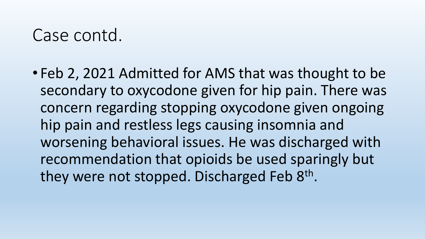• Feb 2, 2021 Admitted for AMS that was thought to be secondary to oxycodone given for hip pain. There was concern regarding stopping oxycodone given ongoing hip pain and restless legs causing insomnia and worsening behavioral issues. He was discharged with recommendation that opioids be used sparingly but they were not stopped. Discharged Feb 8<sup>th</sup>.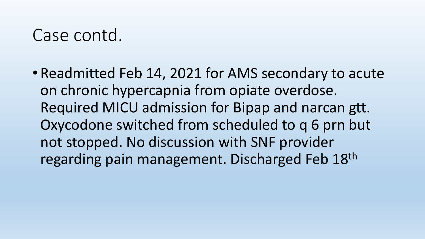• Readmitted Feb 14, 2021 for AMS secondary to acute on chronic hypercapnia from opiate overdose. Required MICU admission for Bipap and narcan gtt. Oxycodone switched from scheduled to q 6 prn but not stopped. No discussion with SNF provider regarding pain management. Discharged Feb 18th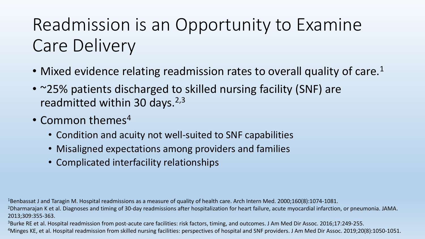## Readmission is an Opportunity to Examine Care Delivery

- Mixed evidence relating readmission rates to overall quality of care.<sup>1</sup>
- ~25% patients discharged to skilled nursing facility (SNF) are readmitted within 30 days.  $2,3$
- Common themes<sup>4</sup>
	- Condition and acuity not well-suited to SNF capabilities
	- Misaligned expectations among providers and families
	- Complicated interfacility relationships

1Benbassat J and Taragin M. Hospital readmissions as a measure of quality of health care. Arch Intern Med. 2000;160(8):1074-1081.

<sup>2</sup>Dharmarajan K et al. Diagnoses and timing of 30-day readmissions after hospitalization for heart failure, acute myocardial infarction, or pneumonia. JAMA. 2013;309:355-363.

<sup>3</sup>Burke RE et al. Hospital readmission from post-acute care facilities: risk factors, timing, and outcomes. J Am Med Dir Assoc. 2016;17:249-255.

<sup>4</sup>Minges KE, et al. Hospital readmission from skilled nursing facilities: perspectives of hospital and SNF providers. J Am Med Dir Assoc. 2019;20(8):1050-1051.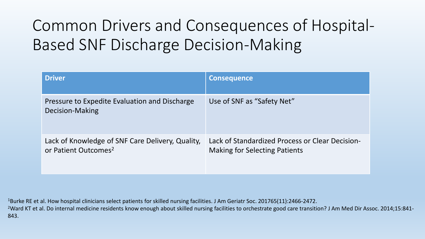#### Common Drivers and Consequences of Hospital-Based SNF Discharge Decision-Making

| <b>Driver</b>                                                                        | <b>Consequence</b>                                                                      |
|--------------------------------------------------------------------------------------|-----------------------------------------------------------------------------------------|
| Pressure to Expedite Evaluation and Discharge<br>Decision-Making                     | Use of SNF as "Safety Net"                                                              |
| Lack of Knowledge of SNF Care Delivery, Quality,<br>or Patient Outcomes <sup>2</sup> | Lack of Standardized Process or Clear Decision-<br><b>Making for Selecting Patients</b> |

1Burke RE et al. How hospital clinicians select patients for skilled nursing facilities. J Am Geriatr Soc. 201765(11):2466-2472. <sup>2</sup>Ward KT et al. Do internal medicine residents know enough about skilled nursing facilities to orchestrate good care transition? J Am Med Dir Assoc. 2014;15:841-843.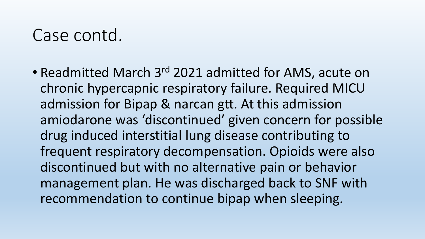• Readmitted March 3<sup>rd</sup> 2021 admitted for AMS, acute on chronic hypercapnic respiratory failure. Required MICU admission for Bipap & narcan gtt. At this admission amiodarone was 'discontinued' given concern for possible drug induced interstitial lung disease contributing to frequent respiratory decompensation. Opioids were also discontinued but with no alternative pain or behavior management plan. He was discharged back to SNF with recommendation to continue bipap when sleeping.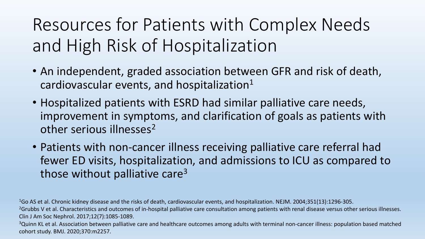Resources for Patients with Complex Needs and High Risk of Hospitalization

- An independent, graded association between GFR and risk of death, cardiovascular events, and hospitalization $1$
- Hospitalized patients with ESRD had similar palliative care needs, improvement in symptoms, and clarification of goals as patients with other serious illnesses<sup>2</sup>
- Patients with non-cancer illness receiving palliative care referral had fewer ED visits, hospitalization, and admissions to ICU as compared to those without palliative care<sup>3</sup>

1Go AS et al. Chronic kidney disease and the risks of death, cardiovascular events, and hospitalization. NEJM. 2004;351(13):1296-305.

<sup>2</sup>Grubbs V et al. Characteristics and outcomes of in-hospital palliative care consultation among patients with renal disease versus other serious illnesses. Clin J Am Soc Nephrol. 2017;12(7):1085-1089.

<sup>3</sup>Quinn KL et al. Association between palliative care and healthcare outcomes among adults with terminal non-cancer illness: population based matched cohort study. BMJ. 2020;370:m2257.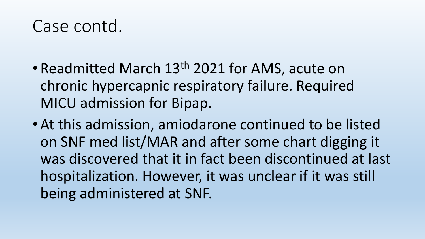- Readmitted March 13<sup>th</sup> 2021 for AMS, acute on chronic hypercapnic respiratory failure. Required MICU admission for Bipap.
- At this admission, amiodarone continued to be listed on SNF med list/MAR and after some chart digging it was discovered that it in fact been discontinued at last hospitalization. However, it was unclear if it was still being administered at SNF.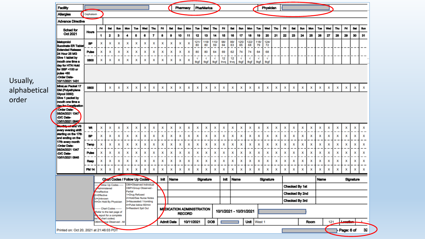| <b>Facility</b>                                                                                                     | Pharmacy<br>PharMerica                                                                                                                                                     |     |                          |     |                                             |                |                                                  |     |      |                   |     |               |                  | Physician                        |            |            |            |                    |                        |            |            |     |    |     |                       |      |            |     |     |              |            |                           |  |  |
|---------------------------------------------------------------------------------------------------------------------|----------------------------------------------------------------------------------------------------------------------------------------------------------------------------|-----|--------------------------|-----|---------------------------------------------|----------------|--------------------------------------------------|-----|------|-------------------|-----|---------------|------------------|----------------------------------|------------|------------|------------|--------------------|------------------------|------------|------------|-----|----|-----|-----------------------|------|------------|-----|-----|--------------|------------|---------------------------|--|--|
| <b>Allergies</b>                                                                                                    | Cephalexin                                                                                                                                                                 |     |                          |     |                                             |                |                                                  |     |      |                   |     |               |                  |                                  |            |            |            |                    |                        |            |            |     |    |     |                       |      |            |     |     |              |            |                           |  |  |
| <b>Advance Directive</b>                                                                                            |                                                                                                                                                                            |     |                          |     |                                             |                |                                                  |     |      |                   |     |               |                  |                                  |            |            |            |                    |                        |            |            |     |    |     |                       |      |            |     |     |              |            |                           |  |  |
| Sched for<br><b>Hours</b><br>Oct 2021                                                                               |                                                                                                                                                                            | Fri | Sat                      | Sun | Mon                                         | Tue            | Wed                                              | Thu | Fri  | Sat               | Sun | Mon           | Tue              | Wed                              | Thu        | Fri        | Sat        | Sun                | Mon                    | Tue        | Wed        | Thu | R  | Sat | Sun                   | Mon  | <b>Tue</b> | Wed | Thu | Fd           | <b>Sat</b> | Sun                       |  |  |
|                                                                                                                     |                                                                                                                                                                            | 1   | 2                        | з   | 4                                           | 5              | 6                                                | 7   | 8    | 9                 | 10  | 11            | 12               | 13                               | 14         | 15         | 16         | 17                 | 18                     | 19         | 20         | 21  | 22 | 23  | 24                    | 25   | 26         | 27  | 28  | 29           | 30         | 31                        |  |  |
| <b>Metoprolol</b><br>Succinate ER Tablet                                                                            | <b>BP</b>                                                                                                                                                                  | x   | x                        | ×   | x                                           | x              | x                                                | x   | ×    | ×                 | x   | X             | $\frac{121}{80}$ | 1181<br>80                       | 110/<br>59 | 98/<br>64  | 99/<br>63  | 125/<br>65         | 1221<br>68             | 118/<br>79 | 124/<br>72 |     |    |     |                       |      |            |     |     |              |            |                           |  |  |
| <b>Extended Release</b><br>24 Hour 25 MG                                                                            | Pulse                                                                                                                                                                      | ×   | ×                        | ×   | ×                                           | ×              | ×                                                | x   | x    | x                 | x   | ×             | 80               | 80                               | 64         | 69         | 62         | 74                 | 74                     | 64         | 68         |     |    |     |                       |      |            |     |     |              |            |                           |  |  |
| Give 1 tablet by<br>Imouth one time a                                                                               | 0800                                                                                                                                                                       | x   | x                        | ×   | ×                                           | ×              | x                                                | x   | x    | x                 | x   | ×             | N<br>tkgf        | N<br>tkgf                        | N<br>tkgf  | 12<br>trvq | 12<br>trvq | $\sqrt{ }$<br>tkgf | N<br>tkgf              | N<br>tkgf  | N<br>tkgf  |     |    |     |                       |      |            |     |     |              |            |                           |  |  |
| day for HTN Hold<br>for SBP <100 or<br>pulse <60<br>-Order Date-<br>10/11/2021 1431                                 |                                                                                                                                                                            |     |                          |     |                                             |                |                                                  |     |      |                   |     |               |                  |                                  |            |            |            |                    |                        |            |            |     |    |     |                       |      |            |     |     |              |            |                           |  |  |
| <b>MiraLax Packet 17</b><br>GM (Polyethylene                                                                        | 0800                                                                                                                                                                       |     | x                        | x   | ×                                           | x              | x                                                | x   | x    | x                 | x   | x             | x                | x                                | x          | x          | x          | ×                  | x                      | x          | x          | x   | x  | x   | x                     | x    | x          | x   | x   | x            | x          | $\boldsymbol{\mathsf{x}}$ |  |  |
| mouth one time a<br>day for Constipation<br><b>-Order Date-</b><br>08/24/2021 1347<br>-D/C Date-<br>10/01/2021 0840 |                                                                                                                                                                            |     |                          |     |                                             |                |                                                  |     |      |                   |     |               |                  |                                  |            |            |            |                    |                        |            |            |     |    |     |                       |      |            |     |     |              |            |                           |  |  |
| <b>Monthly wt and VS</b><br>every evening shift                                                                     | wt                                                                                                                                                                         | ×   | ×                        | ×   | ×                                           | ×              | x                                                | x   | x    | x                 | x   | x             | x                | x                                | x          | x          | x          | ×                  | ×                      | x          | x          | x   | x  | x   | x                     | x    | ×          | x   | x   | ×            | ×          | x                         |  |  |
| starting on the 17th<br>and ending on the                                                                           | <b>BP</b>                                                                                                                                                                  | ×   | ×                        | ×   | ×                                           | x              | ×                                                | ×   | x    | x                 | x   | ×             | ×                | x                                | ×          | ×          | x          | x                  | ×                      | ×          | x          | x   | ×  | ×   | x                     | x    | x          | x   | x   | ×            | x          | x                         |  |  |
| 17th every month<br>-Order Date-                                                                                    | Temp                                                                                                                                                                       | ×   | ×                        | ×   | ×                                           | ×              | ×                                                | x   | ×    | ×                 | ×   | x             | ×                | ×                                | ×          | ×          | ×          | ×                  | ×                      | ×          | ×          | ×   | ×  | ×   | ×                     | x    | ×          | ×   | ×   | ×            | ×          | ×                         |  |  |
| 08/24/2021 1347<br>-D/C Date-                                                                                       | Pulse                                                                                                                                                                      | ×   | x                        | x   | ×                                           | x              | ×                                                | ×   | x    | x                 | x   | ×             | ×                | x                                | ×          | ×          | x          | x                  | x                      | ×          | x          | x   | x  | ×   | x                     | x    | x          | x   | x   | x            | x          | x                         |  |  |
| 10/01/2021 0845                                                                                                     | Resp                                                                                                                                                                       | x   | ×                        | x   | x                                           | ×              | ×                                                | x   | x    | x                 | x   | ×             | ×                | x                                | ×          | x          | x          | ×                  | ×                      | ×          | ×          | x   | x  | ×   | ×                     | x    | ×          | x   | x   | ×            | ×          | ×                         |  |  |
|                                                                                                                     | <b>PM 14</b>                                                                                                                                                               | ×   | ×                        | x   | x                                           | x              | x                                                | x   | ×    | x                 | x   | x             | x                | x                                | x          | x          | x          | x                  | x                      | x          | x          | x   | x  | x   | X                     | x    | x          | x   | x   | x            | x          | x                         |  |  |
|                                                                                                                     |                                                                                                                                                                            |     |                          |     |                                             |                |                                                  |     | Init | Name              |     |               |                  | Signature                        |            | Init       | Name       |                    |                        |            | Signature  |     |    |     |                       |      | Name       |     |     |              | Signature  |                           |  |  |
|                                                                                                                     | <b>Chart Codes / Follow Up Codes</b><br>OBI=Observed Individual<br>ollow Up Codes -<br>OBP=Group Observed -<br>Administered                                                |     |                          |     |                                             |                |                                                  |     |      |                   |     |               |                  |                                  |            |            |            |                    |                        |            |            |     |    |     | <b>Checked By 1st</b> |      |            |     |     |              |            |                           |  |  |
|                                                                                                                     | ·Ineffective<br>E=Effective<br>U=Unknown<br>H=On Hold By Physician<br>Chart Codes ------<br>Refer to the last page of<br>the report for a complete<br>list of chart codes) |     |                          |     | Partial                                     | 1=Drug Refused |                                                  |     |      |                   |     |               |                  |                                  |            |            |            |                    |                        |            |            |     |    |     | Checked By 2nd        |      |            |     |     |              |            |                           |  |  |
|                                                                                                                     |                                                                                                                                                                            |     |                          |     |                                             |                | 2=Hold/See Nurse Notes<br>3=Nauseated / Vomiting |     |      |                   |     |               |                  |                                  |            |            |            |                    |                        |            |            |     |    |     | Checked By 3rd        |      |            |     |     |              |            |                           |  |  |
|                                                                                                                     |                                                                                                                                                                            |     |                          |     | 4=Pulse below 60/min<br>5=Resident Spit Out |                |                                                  |     |      |                   |     | <b>RECORD</b> |                  | <b>MEDICATION ADMINISTRATION</b> |            |            |            |                    | 10/1/2021 - 10/31/2021 |            |            |     |    |     |                       |      |            |     |     |              |            |                           |  |  |
|                                                                                                                     |                                                                                                                                                                            |     | OBA=Lyoup Observed - All |     |                                             |                |                                                  |     |      | <b>Admit Date</b> |     | 10/11/2021    |                  |                                  | <b>DOB</b> |            |            |                    | Unit   West 1          |            |            |     |    |     |                       | Room |            | 121 |     | Location     |            |                           |  |  |
| Printed on: Oct 20, 2021 at 21:46:03 PDT                                                                            |                                                                                                                                                                            |     |                          |     |                                             |                |                                                  |     |      |                   |     |               |                  |                                  |            |            |            |                    |                        |            |            |     |    |     |                       |      |            |     |     | - Page: 6 of |            | 32                        |  |  |

Usually, alphabetical order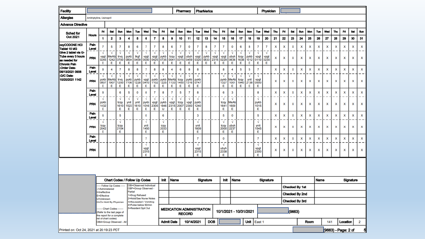| <b>Facility</b>                                            |                                                                                                 |                                 |                                                                                                        |                        |                        |                                          |                              |                                 |                        |                        | Pharmacy                         |                        |                        |                   | PharMerica<br>Physician |                             |                           |                        |                                 |                        |                                |     |     |                |                |      |      |     |                     |          |           |                |
|------------------------------------------------------------|-------------------------------------------------------------------------------------------------|---------------------------------|--------------------------------------------------------------------------------------------------------|------------------------|------------------------|------------------------------------------|------------------------------|---------------------------------|------------------------|------------------------|----------------------------------|------------------------|------------------------|-------------------|-------------------------|-----------------------------|---------------------------|------------------------|---------------------------------|------------------------|--------------------------------|-----|-----|----------------|----------------|------|------|-----|---------------------|----------|-----------|----------------|
| <b>Allergies</b>                                           | Amitriptyline, Lisinopril                                                                       |                                 |                                                                                                        |                        |                        |                                          |                              |                                 |                        |                        |                                  |                        |                        |                   |                         |                             |                           |                        |                                 |                        |                                |     |     |                |                |      |      |     |                     |          |           |                |
| <b>Advance Directive</b>                                   |                                                                                                 |                                 |                                                                                                        |                        |                        |                                          |                              |                                 |                        |                        |                                  |                        |                        |                   |                         |                             |                           |                        |                                 |                        |                                |     |     |                |                |      |      |     |                     |          |           |                |
| Sched for                                                  | <b>Hours</b>                                                                                    | Fri                             | Sat                                                                                                    | Sun                    | Mon                    | Tue                                      | Wed                          | Thu                             | Fri                    | Sat                    | Sun                              | Mon                    | Tue                    | Wed               | Thu                     | Fri                         | Sat                       | Sun                    | Mon                             | Tue                    | Wed                            | Thu | Fri | Set            | <b>Sun</b>     | Mon  | Tue  | Wed | Thu                 | Fri      | Set       | Sun            |
| Oct 2021                                                   |                                                                                                 | 1                               | 2                                                                                                      | з                      | 4                      | 5                                        | 6                            | $\overline{\mathbf{r}}$         | 8                      | 9                      | 10                               | 11                     | 12                     | 13                | 14                      | 15                          | 16                        | 17                     | 18                              | 19                     | 20                             | 21  | 22  | 23             | 24             | 25   | 26   | 27  | 28                  | 29       | 30        | 31             |
| 0XyCODONE HCI<br>Tablet 10 MG<br>Give 2 tablet via G-      | Pain<br>Level                                                                                   |                                 | 5                                                                                                      | 7<br>V                 | 8                      | 6                                        | $\overline{7}$<br>$\sqrt{ }$ | 7                               | 8                      | 6                      | 7                                | 0                      | 7                      | 8<br>$\sqrt{ }$   | $\overline{7}$          | $\overline{7}$<br>$\sqrt{}$ | $\mathbf 0$<br>$\sqrt{ }$ | 6<br>$\sqrt{ }$        | 8                               | 7<br>$\sqrt{ }$        |                                | x   | X   | x              | ×              | ×    | X    | x   | ×                   | x        | x         | x              |
| Tube every 3 hours<br>as needed for<br><b>Chronic Pain</b> | PRN                                                                                             | N<br>vpgt<br>0245<br>Ε          | N<br>MeAb<br>1242<br>Ε                                                                                 | trvq<br>0700<br>Ε      | N<br>pykb<br>0804<br>Ε | N<br>tkgf<br>0409<br>Ε                   | vpgt<br>0030<br>Ε            | $\sqrt{ }$<br>vpgt<br>0425<br>Ε | N<br>pykb<br>0735<br>Ε | √<br>tcqy<br>0041<br>Ε | N<br>vpgt<br>0315<br>Ε           | N<br>ubyh<br>0459<br>Ε | N<br>vpgt<br>0320<br>Ε | pykb<br>0833<br>Ε | √<br>vpgt<br>2315<br>Е  | vpgt<br>0229<br>Ε           | ubyh<br>0636<br>Ε         | tcqy<br>1638<br>Ε      | $\sqrt{ }$<br>pykb<br>1012<br>Ε | vpgt<br>0110<br>Ε      | $\sqrt{}$<br>vpgt<br>0230<br>Ε | x   | x   | x              | x              | x    | x    | x   | x                   | x        | x         | x              |
| -Order Date-<br>08/13/2021 0908                            | Pain<br>Level                                                                                   | 8                               | 4                                                                                                      | 7                      | 8                      | 8                                        | $\overline{7}$               | 8                               | 8                      | 4                      | 6                                | 8                      | 8                      |                   |                         | 8                           | 4                         | 5                      | 5                               | 7                      |                                | x   | x   | x              | x              | x    | x    | X   | x                   | x        | x         | x              |
| -D/C Date-<br>10/20/2021 1142                              | PRN                                                                                             | N<br>pykb<br>0807<br>Ε          | N<br>MeAb<br>1907<br>Ε                                                                                 | N<br>trvq<br>1200<br>Ε | N<br>pykb<br>1106<br>Е | N<br>pykb<br>1228<br>Ε                   | N<br>vpgt<br>0410<br>Ε       | N<br>pykb<br>1102<br>Ε          | N<br>pykb<br>1225<br>Ε | N<br>MeAb<br>1133<br>Е | N<br>toqy<br>1450<br>Е           | N<br>pykb<br>1316<br>Ε | N<br>pykb<br>0747<br>Ε |                   |                         | √<br>pykb<br>1327<br>Ε      | N<br>MeAb<br>1001<br>Е    | N<br>tcqy<br>1940<br>Ε | $\sqrt{ }$<br>ynit<br>2138<br>Ε | N<br>vpgt<br>0500<br>Е |                                | x   | x   | ×              | x              | x    | x    | ×   | x                   | x        | x         | x              |
|                                                            | Pain<br>Level                                                                                   | 8                               |                                                                                                        | 6                      | 5                      | 0                                        | 8                            | $\overline{7}$                  | 8                      | 7                      | 5                                | $\overline{7}$         | 8                      |                   |                         | 6                           | 3                         |                        |                                 | 8                      |                                | x   | x   | x              | x              | x    | x    | x   | x                   | x        | x         | x              |
|                                                            | PRN                                                                                             | N<br>pykb<br>1432<br>Ε          |                                                                                                        | N<br>tcqy<br>1610      | √<br>ynit<br>1523      | N<br>ynit<br>1610                        | N<br>pykb<br>1016            | $\sqrt{ }$<br>vpgt<br>2305      | N<br>pykb<br>1646      | N<br>vpgt<br>2315      | N<br>tcqy<br>2007                | N<br>vpgt<br>2300      | N<br>pykb<br>1240      |                   |                         | N<br>tcqy<br>1641           | N<br>MeAb<br>1600         |                        |                                 | N<br>pykb<br>1015      |                                | X   | x   | x              | x              | ×    | x    | X   | x                   | x        | x         | - -<br>x       |
|                                                            | Pain                                                                                            | 6                               |                                                                                                        | Ε<br>5                 | Ε                      | Ε                                        | Ε<br>0                       | Ε                               | U<br>6                 | Ε                      | Ε                                | Ε                      | Ε<br>3                 |                   |                         | Ε<br>5                      | Ε<br>0                    |                        |                                 | Ε<br>5                 |                                | x   | x   | x              | x              | ×    | x    | x   | x                   | x        | x         | x              |
|                                                            | Level                                                                                           | N                               |                                                                                                        | N                      |                        |                                          | N                            |                                 | N                      |                        |                                  |                        | N                      |                   |                         | N                           | √                         |                        |                                 | N                      |                                |     |     |                |                |      |      |     |                     |          |           |                |
|                                                            | <b>PRN</b>                                                                                      | tcqy<br>2042<br>Ε               |                                                                                                        | tcqy<br>2104<br>Е      |                        |                                          | ynit<br>1450<br>Ε            |                                 | tcqy<br>2033<br>Ε      |                        |                                  |                        | ynit<br>1609<br>Ε      |                   |                         | tcqy<br>2000<br>Ε           | ubyh<br>2237<br>Ε         |                        |                                 | ynit<br>1545<br>Ε      |                                | x   | x   | x              | x              | x    | x    | x   | x                   | x        | x         | x              |
|                                                            | Pain<br>Level                                                                                   |                                 |                                                                                                        |                        |                        |                                          | $\overline{7}$               |                                 |                        |                        |                                  |                        | 7                      |                   |                         | O                           |                           |                        |                                 | 7                      |                                | x   | x   | x              | x              | ×    | ×    | ×   | x                   | x        | ×         | x              |
|                                                            | PRN                                                                                             |                                 |                                                                                                        |                        |                        |                                          | N<br>vpgt<br>2315<br>Ε       |                                 |                        |                        |                                  |                        | N<br>vpgt<br>2315<br>Ε |                   |                         | V<br>ubyh<br>2338<br>Ε      |                           |                        |                                 | N<br>vpgt<br>2300<br>Ε |                                | x   | x   | x              | x              | x    | x    | x   | x                   | x        | x         | x              |
|                                                            |                                                                                                 |                                 |                                                                                                        |                        |                        |                                          |                              |                                 |                        |                        |                                  |                        |                        |                   |                         |                             |                           |                        |                                 |                        |                                |     |     |                |                |      |      |     |                     |          |           |                |
|                                                            |                                                                                                 |                                 | <b>Chart Codes / Follow Up Codes</b><br>- Follow Up Codes                                              |                        |                        | OBI=Observed Individual                  |                              |                                 | Init                   | <b>Name</b>            |                                  |                        |                        | Signature         |                         | Init                        |                           | Name                   |                                 |                        | Signature                      |     |     |                |                |      | Name |     |                     |          | Signature |                |
|                                                            |                                                                                                 | V=Administered<br>I=Ineffective |                                                                                                        |                        | Partial                | OBP=Group Observed -                     |                              |                                 |                        |                        |                                  |                        |                        |                   |                         |                             |                           |                        |                                 |                        |                                |     |     |                | Checked By 1st |      |      |     |                     |          |           |                |
|                                                            |                                                                                                 | E=Effective<br>U=Unknown        |                                                                                                        |                        |                        | 1=Drug Refused<br>2=Hold/See Nurse Notes |                              |                                 |                        |                        |                                  |                        |                        |                   |                         |                             |                           |                        |                                 |                        |                                |     |     |                | Checked By 2nd |      |      |     |                     |          |           |                |
|                                                            | 3=Nauseated / Vomiting<br>H=On Hold By Physician<br>4=Pulse below 60/min<br>5=Resident Spit Out |                                 |                                                                                                        |                        |                        |                                          |                              |                                 |                        |                        |                                  |                        |                        |                   |                         |                             |                           |                        |                                 |                        |                                |     |     | Checked By 3rd |                |      |      |     |                     |          |           |                |
|                                                            |                                                                                                 |                                 | Chart Codes -------<br>(Refer to the last page of<br>the report for a complete<br>list of chart codes) |                        |                        |                                          |                              |                                 |                        |                        | <b>MEDICATION ADMINISTRATION</b> | <b>RECORD</b>          |                        |                   |                         |                             |                           | 10/1/2021 - 10/31/2021 |                                 |                        |                                |     |     | (9663)         |                |      |      |     |                     |          |           |                |
|                                                            |                                                                                                 |                                 | OBA=Group Observed - All                                                                               |                        |                        |                                          |                              |                                 |                        | <b>Admit Date</b>      |                                  | 10/14/2021             |                        |                   | <b>DOB</b>              |                             |                           |                        | Unit                            | East 1                 |                                |     |     |                |                | Room |      | 141 |                     | Location |           | $\overline{2}$ |
| Printed on: Oct 24, 2021 at 20:19:23 PDT                   |                                                                                                 |                                 |                                                                                                        |                        |                        |                                          |                              |                                 |                        |                        |                                  |                        |                        |                   |                         |                             |                           |                        |                                 |                        |                                |     |     |                |                |      |      |     | (9663) - Page: 2 of |          |           | 5              |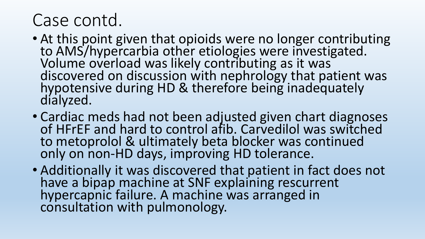- At this point given that opioids were no longer contributing to AMS/hypercarbia other etiologies were investigated. Volume overload was likely contributing as it was discovered on discussion with nephrology that patient was hypotensive during HD & therefore being inadequately dialyzed.
- Cardiac meds had not been adjusted given chart diagnoses of HFrEF and hard to control afib. Carvedilol was switched to metoprolol & ultimately beta blocker was continued only on non-HD days, improving HD tolerance.
- Additionally it was discovered that patient in fact does not have a bipap machine at SNF explaining rescurrent hypercapnic failure. A machine was arranged in consultation with pulmonology.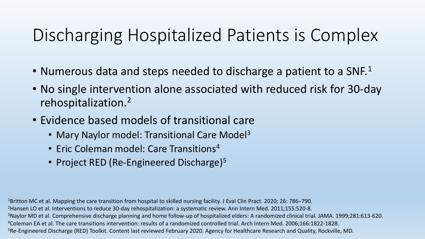### Discharging Hospitalized Patients is Complex

- Numerous data and steps needed to discharge a patient to a SNF.<sup>1</sup>
- No single intervention alone associated with reduced risk for 30-day rehospitalization.2
- Evidence based models of transitional care
	- Mary Naylor model: Transitional Care Model<sup>3</sup>
	- Eric Coleman model: Care Transitions<sup>4</sup>
	- Project RED (Re-Engineered Discharge)<sup>5</sup>

1Britton MC et al. Mapping the care transition from hospital to skilled nursing facility. J Eval Clin Pract. 2020; 26: 786–790. <sup>2</sup> Hansen LO et al. Interventions to reduce 30-day rehospitalization: a systematic review. Ann Intern Med. 2011;155:520-8. <sup>3</sup>Naylor MD et al. Comprehensive discharge planning and home follow-up of hospitalized elders: A randomized clinical trial. JAMA. 1999;281:613-620. 4Coleman EA et al. The care transitions intervention: results of a randomized controlled trial. Arch Intern Med. 2006;166:1822-1828. 5Re-Engineered Discharge (RED) Toolkit. Content last reviewed February 2020. Agency for Healthcare Research and Quality, Rockville, MD.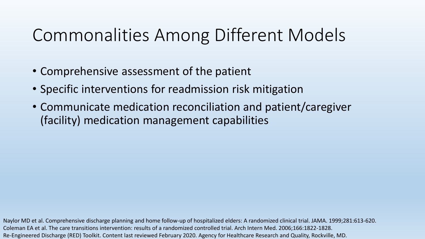### Commonalities Among Different Models

- Comprehensive assessment of the patient
- Specific interventions for readmission risk mitigation
- Communicate medication reconciliation and patient/caregiver (facility) medication management capabilities

Naylor MD et al. Comprehensive discharge planning and home follow-up of hospitalized elders: A randomized clinical trial. JAMA. 1999;281:613-620. Coleman EA et al. The care transitions intervention: results of a randomized controlled trial. Arch Intern Med. 2006;166:1822-1828. Re-Engineered Discharge (RED) Toolkit. Content last reviewed February 2020. Agency for Healthcare Research and Quality, Rockville, MD.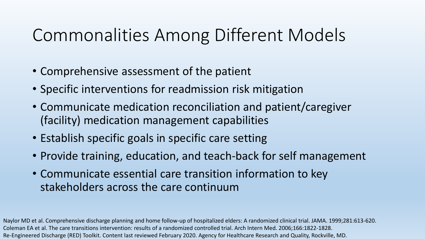### Commonalities Among Different Models

- Comprehensive assessment of the patient
- Specific interventions for readmission risk mitigation
- Communicate medication reconciliation and patient/caregiver (facility) medication management capabilities
- Establish specific goals in specific care setting
- Provide training, education, and teach-back for self management
- Communicate essential care transition information to key stakeholders across the care continuum

Naylor MD et al. Comprehensive discharge planning and home follow-up of hospitalized elders: A randomized clinical trial. JAMA. 1999;281:613-620. Coleman EA et al. The care transitions intervention: results of a randomized controlled trial. Arch Intern Med. 2006;166:1822-1828. Re-Engineered Discharge (RED) Toolkit. Content last reviewed February 2020. Agency for Healthcare Research and Quality, Rockville, MD.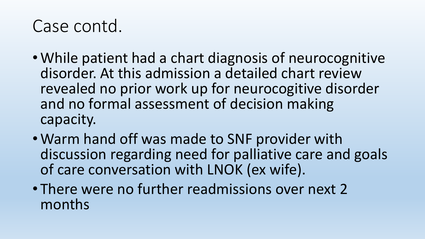- While patient had a chart diagnosis of neurocognitive disorder. At this admission a detailed chart review revealed no prior work up for neurocogitive disorder and no formal assessment of decision making capacity.
- Warm hand off was made to SNF provider with discussion regarding need for palliative care and goals of care conversation with LNOK (ex wife).
- There were no further readmissions over next 2 months